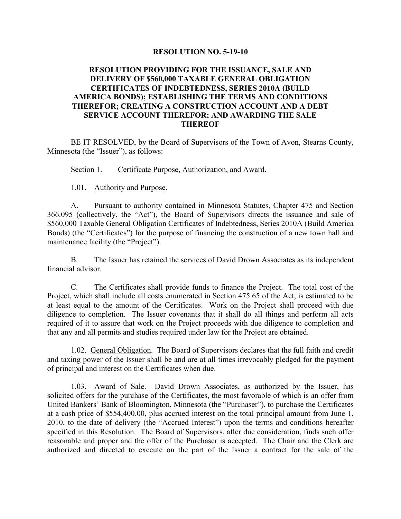# **RESOLUTION NO. 5-19-10**

# **RESOLUTION PROVIDING FOR THE ISSUANCE, SALE AND DELIVERY OF \$560,000 TAXABLE GENERAL OBLIGATION CERTIFICATES OF INDEBTEDNESS, SERIES 2010A (BUILD AMERICA BONDS); ESTABLISHING THE TERMS AND CONDITIONS THEREFOR; CREATING A CONSTRUCTION ACCOUNT AND A DEBT SERVICE ACCOUNT THEREFOR; AND AWARDING THE SALE THEREOF**

BE IT RESOLVED, by the Board of Supervisors of the Town of Avon, Stearns County, Minnesota (the "Issuer"), as follows:

Section 1. Certificate Purpose, Authorization, and Award.

# 1.01. Authority and Purpose.

A. Pursuant to authority contained in Minnesota Statutes, Chapter 475 and Section 366.095 (collectively, the "Act"), the Board of Supervisors directs the issuance and sale of \$560,000 Taxable General Obligation Certificates of Indebtedness, Series 2010A (Build America Bonds) (the "Certificates") for the purpose of financing the construction of a new town hall and maintenance facility (the "Project").

B. The Issuer has retained the services of David Drown Associates as its independent financial advisor.

C. The Certificates shall provide funds to finance the Project. The total cost of the Project, which shall include all costs enumerated in Section 475.65 of the Act, is estimated to be at least equal to the amount of the Certificates. Work on the Project shall proceed with due diligence to completion. The Issuer covenants that it shall do all things and perform all acts required of it to assure that work on the Project proceeds with due diligence to completion and that any and all permits and studies required under law for the Project are obtained.

1.02. General Obligation. The Board of Supervisors declares that the full faith and credit and taxing power of the Issuer shall be and are at all times irrevocably pledged for the payment of principal and interest on the Certificates when due.

1.03. Award of Sale. David Drown Associates, as authorized by the Issuer, has solicited offers for the purchase of the Certificates, the most favorable of which is an offer from United Bankers' Bank of Bloomington, Minnesota (the "Purchaser"), to purchase the Certificates at a cash price of \$554,400.00, plus accrued interest on the total principal amount from June 1, 2010, to the date of delivery (the "Accrued Interest") upon the terms and conditions hereafter specified in this Resolution. The Board of Supervisors, after due consideration, finds such offer reasonable and proper and the offer of the Purchaser is accepted. The Chair and the Clerk are authorized and directed to execute on the part of the Issuer a contract for the sale of the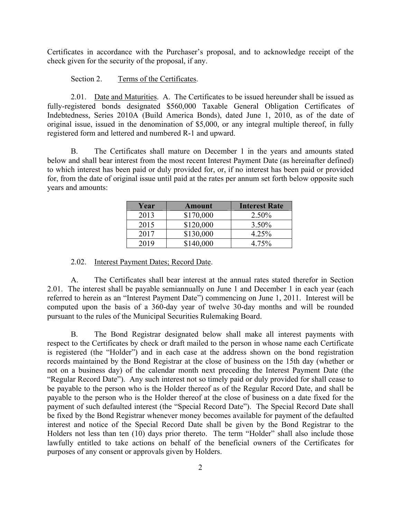Certificates in accordance with the Purchaser's proposal, and to acknowledge receipt of the check given for the security of the proposal, if any.

### Section 2. Terms of the Certificates.

2.01. Date and Maturities. A. The Certificates to be issued hereunder shall be issued as fully-registered bonds designated \$560,000 Taxable General Obligation Certificates of Indebtedness, Series 2010A (Build America Bonds), dated June 1, 2010, as of the date of original issue, issued in the denomination of \$5,000, or any integral multiple thereof, in fully registered form and lettered and numbered R-1 and upward.

B. The Certificates shall mature on December 1 in the years and amounts stated below and shall bear interest from the most recent Interest Payment Date (as hereinafter defined) to which interest has been paid or duly provided for, or, if no interest has been paid or provided for, from the date of original issue until paid at the rates per annum set forth below opposite such years and amounts:

| Year | <b>Amount</b> | <b>Interest Rate</b> |
|------|---------------|----------------------|
| 2013 | \$170,000     | 2.50%                |
| 2015 | \$120,000     | 3.50%                |
| 2017 | \$130,000     | 4.25%                |
| 2019 | \$140,000     | 4.75%                |

### 2.02. Interest Payment Dates; Record Date.

A. The Certificates shall bear interest at the annual rates stated therefor in Section 2.01. The interest shall be payable semiannually on June 1 and December 1 in each year (each referred to herein as an "Interest Payment Date") commencing on June 1, 2011. Interest will be computed upon the basis of a 360-day year of twelve 30-day months and will be rounded pursuant to the rules of the Municipal Securities Rulemaking Board.

B. The Bond Registrar designated below shall make all interest payments with respect to the Certificates by check or draft mailed to the person in whose name each Certificate is registered (the "Holder") and in each case at the address shown on the bond registration records maintained by the Bond Registrar at the close of business on the 15th day (whether or not on a business day) of the calendar month next preceding the Interest Payment Date (the "Regular Record Date"). Any such interest not so timely paid or duly provided for shall cease to be payable to the person who is the Holder thereof as of the Regular Record Date, and shall be payable to the person who is the Holder thereof at the close of business on a date fixed for the payment of such defaulted interest (the "Special Record Date"). The Special Record Date shall be fixed by the Bond Registrar whenever money becomes available for payment of the defaulted interest and notice of the Special Record Date shall be given by the Bond Registrar to the Holders not less than ten  $(10)$  days prior thereto. The term "Holder" shall also include those lawfully entitled to take actions on behalf of the beneficial owners of the Certificates for purposes of any consent or approvals given by Holders.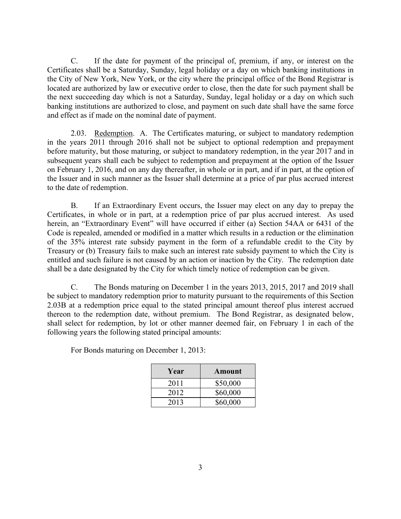C. If the date for payment of the principal of, premium, if any, or interest on the Certificates shall be a Saturday, Sunday, legal holiday or a day on which banking institutions in the City of New York, New York, or the city where the principal office of the Bond Registrar is located are authorized by law or executive order to close, then the date for such payment shall be the next succeeding day which is not a Saturday, Sunday, legal holiday or a day on which such banking institutions are authorized to close, and payment on such date shall have the same force and effect as if made on the nominal date of payment.

2.03. Redemption. A. The Certificates maturing, or subject to mandatory redemption in the years 2011 through 2016 shall not be subject to optional redemption and prepayment before maturity, but those maturing, or subject to mandatory redemption, in the year 2017 and in subsequent years shall each be subject to redemption and prepayment at the option of the Issuer on February 1, 2016, and on any day thereafter, in whole or in part, and if in part, at the option of the Issuer and in such manner as the Issuer shall determine at a price of par plus accrued interest to the date of redemption.

B. If an Extraordinary Event occurs, the Issuer may elect on any day to prepay the Certificates, in whole or in part, at a redemption price of par plus accrued interest. As used herein, an "Extraordinary Event" will have occurred if either (a) Section 54AA or 6431 of the Code is repealed, amended or modified in a matter which results in a reduction or the elimination of the 35% interest rate subsidy payment in the form of a refundable credit to the City by Treasury or (b) Treasury fails to make such an interest rate subsidy payment to which the City is entitled and such failure is not caused by an action or inaction by the City. The redemption date shall be a date designated by the City for which timely notice of redemption can be given.

C. The Bonds maturing on December 1 in the years 2013, 2015, 2017 and 2019 shall be subject to mandatory redemption prior to maturity pursuant to the requirements of this Section 2.03B at a redemption price equal to the stated principal amount thereof plus interest accrued thereon to the redemption date, without premium. The Bond Registrar, as designated below, shall select for redemption, by lot or other manner deemed fair, on February 1 in each of the following years the following stated principal amounts:

For Bonds maturing on December 1, 2013:

| Year | <b>Amount</b> |
|------|---------------|
| 2011 | \$50,000      |
| 2012 | \$60,000      |
| 2013 | \$60,000      |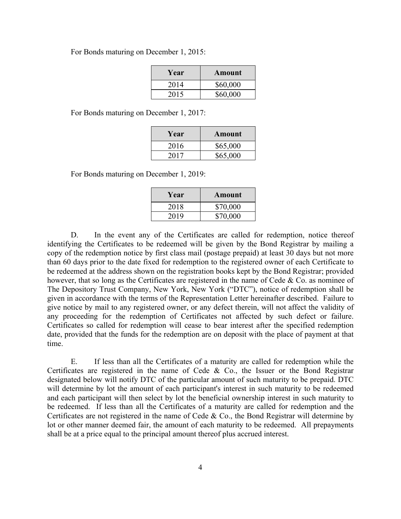For Bonds maturing on December 1, 2015:

| Year | Amount   |
|------|----------|
| 2014 | \$60,000 |
| 2015 | \$60,000 |

For Bonds maturing on December 1, 2017:

| Year | Amount   |
|------|----------|
| 2016 | \$65,000 |
| 2017 | \$65,000 |

For Bonds maturing on December 1, 2019:

| Year | Amount   |
|------|----------|
| 2018 | \$70,000 |
| 2019 | \$70,000 |

D. In the event any of the Certificates are called for redemption, notice thereof identifying the Certificates to be redeemed will be given by the Bond Registrar by mailing a copy of the redemption notice by first class mail (postage prepaid) at least 30 days but not more than 60 days prior to the date fixed for redemption to the registered owner of each Certificate to be redeemed at the address shown on the registration books kept by the Bond Registrar; provided however, that so long as the Certificates are registered in the name of Cede & Co. as nominee of The Depository Trust Company, New York, New York ("DTC"), notice of redemption shall be given in accordance with the terms of the Representation Letter hereinafter described. Failure to give notice by mail to any registered owner, or any defect therein, will not affect the validity of any proceeding for the redemption of Certificates not affected by such defect or failure. Certificates so called for redemption will cease to bear interest after the specified redemption date, provided that the funds for the redemption are on deposit with the place of payment at that time.

E. If less than all the Certificates of a maturity are called for redemption while the Certificates are registered in the name of Cede & Co., the Issuer or the Bond Registrar designated below will notify DTC of the particular amount of such maturity to be prepaid. DTC will determine by lot the amount of each participant's interest in such maturity to be redeemed and each participant will then select by lot the beneficial ownership interest in such maturity to be redeemed. If less than all the Certificates of a maturity are called for redemption and the Certificates are not registered in the name of Cede & Co., the Bond Registrar will determine by lot or other manner deemed fair, the amount of each maturity to be redeemed. All prepayments shall be at a price equal to the principal amount thereof plus accrued interest.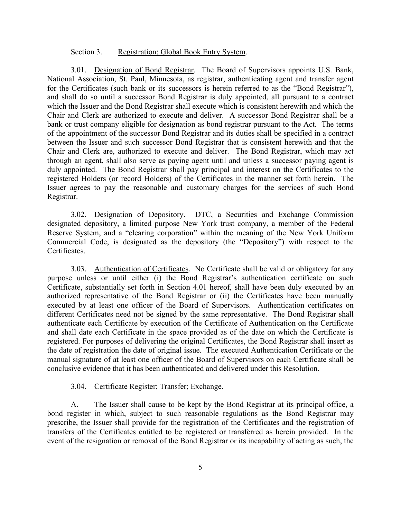### Section 3. Registration; Global Book Entry System.

3.01. Designation of Bond Registrar. The Board of Supervisors appoints U.S. Bank, National Association, St. Paul, Minnesota, as registrar, authenticating agent and transfer agent for the Certificates (such bank or its successors is herein referred to as the "Bond Registrar"), and shall do so until a successor Bond Registrar is duly appointed, all pursuant to a contract which the Issuer and the Bond Registrar shall execute which is consistent herewith and which the Chair and Clerk are authorized to execute and deliver. A successor Bond Registrar shall be a bank or trust company eligible for designation as bond registrar pursuant to the Act. The terms of the appointment of the successor Bond Registrar and its duties shall be specified in a contract between the Issuer and such successor Bond Registrar that is consistent herewith and that the Chair and Clerk are, authorized to execute and deliver. The Bond Registrar, which may act through an agent, shall also serve as paying agent until and unless a successor paying agent is duly appointed. The Bond Registrar shall pay principal and interest on the Certificates to the registered Holders (or record Holders) of the Certificates in the manner set forth herein. The Issuer agrees to pay the reasonable and customary charges for the services of such Bond Registrar.

3.02. Designation of Depository. DTC, a Securities and Exchange Commission designated depository, a limited purpose New York trust company, a member of the Federal Reserve System, and a "clearing corporation" within the meaning of the New York Uniform Commercial Code, is designated as the depository (the "Depository") with respect to the Certificates.

3.03. Authentication of Certificates. No Certificate shall be valid or obligatory for any purpose unless or until either (i) the Bond Registrar's authentication certificate on such Certificate, substantially set forth in Section 4.01 hereof, shall have been duly executed by an authorized representative of the Bond Registrar or (ii) the Certificates have been manually executed by at least one officer of the Board of Supervisors. Authentication certificates on different Certificates need not be signed by the same representative. The Bond Registrar shall authenticate each Certificate by execution of the Certificate of Authentication on the Certificate and shall date each Certificate in the space provided as of the date on which the Certificate is registered. For purposes of delivering the original Certificates, the Bond Registrar shall insert as the date of registration the date of original issue. The executed Authentication Certificate or the manual signature of at least one officer of the Board of Supervisors on each Certificate shall be conclusive evidence that it has been authenticated and delivered under this Resolution.

### 3.04. Certificate Register; Transfer; Exchange.

A. The Issuer shall cause to be kept by the Bond Registrar at its principal office, a bond register in which, subject to such reasonable regulations as the Bond Registrar may prescribe, the Issuer shall provide for the registration of the Certificates and the registration of transfers of the Certificates entitled to be registered or transferred as herein provided. In the event of the resignation or removal of the Bond Registrar or its incapability of acting as such, the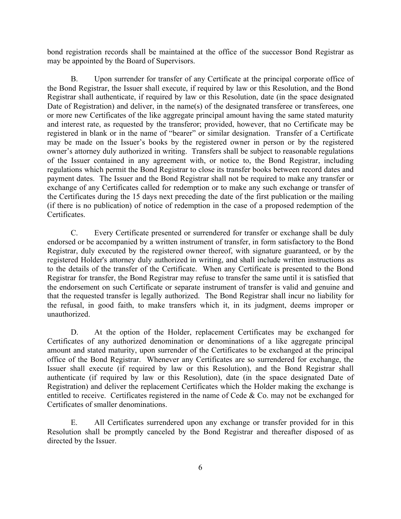bond registration records shall be maintained at the office of the successor Bond Registrar as may be appointed by the Board of Supervisors.

B. Upon surrender for transfer of any Certificate at the principal corporate office of the Bond Registrar, the Issuer shall execute, if required by law or this Resolution, and the Bond Registrar shall authenticate, if required by law or this Resolution, date (in the space designated Date of Registration) and deliver, in the name(s) of the designated transferee or transferees, one or more new Certificates of the like aggregate principal amount having the same stated maturity and interest rate, as requested by the transferor; provided, however, that no Certificate may be registered in blank or in the name of "bearer" or similar designation. Transfer of a Certificate may be made on the Issuer's books by the registered owner in person or by the registered owner's attorney duly authorized in writing. Transfers shall be subject to reasonable regulations of the Issuer contained in any agreement with, or notice to, the Bond Registrar, including regulations which permit the Bond Registrar to close its transfer books between record dates and payment dates. The Issuer and the Bond Registrar shall not be required to make any transfer or exchange of any Certificates called for redemption or to make any such exchange or transfer of the Certificates during the 15 days next preceding the date of the first publication or the mailing (if there is no publication) of notice of redemption in the case of a proposed redemption of the **Certificates** 

C. Every Certificate presented or surrendered for transfer or exchange shall be duly endorsed or be accompanied by a written instrument of transfer, in form satisfactory to the Bond Registrar, duly executed by the registered owner thereof, with signature guaranteed, or by the registered Holder's attorney duly authorized in writing, and shall include written instructions as to the details of the transfer of the Certificate. When any Certificate is presented to the Bond Registrar for transfer, the Bond Registrar may refuse to transfer the same until it is satisfied that the endorsement on such Certificate or separate instrument of transfer is valid and genuine and that the requested transfer is legally authorized. The Bond Registrar shall incur no liability for the refusal, in good faith, to make transfers which it, in its judgment, deems improper or unauthorized.

D. At the option of the Holder, replacement Certificates may be exchanged for Certificates of any authorized denomination or denominations of a like aggregate principal amount and stated maturity, upon surrender of the Certificates to be exchanged at the principal office of the Bond Registrar. Whenever any Certificates are so surrendered for exchange, the Issuer shall execute (if required by law or this Resolution), and the Bond Registrar shall authenticate (if required by law or this Resolution), date (in the space designated Date of Registration) and deliver the replacement Certificates which the Holder making the exchange is entitled to receive. Certificates registered in the name of Cede  $&$  Co. may not be exchanged for Certificates of smaller denominations.

E. All Certificates surrendered upon any exchange or transfer provided for in this Resolution shall be promptly canceled by the Bond Registrar and thereafter disposed of as directed by the Issuer.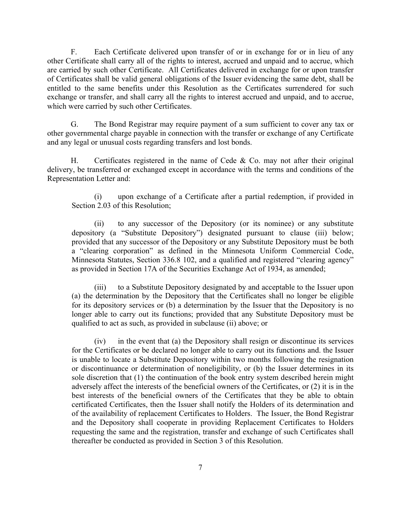F. Each Certificate delivered upon transfer of or in exchange for or in lieu of any other Certificate shall carry all of the rights to interest, accrued and unpaid and to accrue, which are carried by such other Certificate. All Certificates delivered in exchange for or upon transfer of Certificates shall be valid general obligations of the Issuer evidencing the same debt, shall be entitled to the same benefits under this Resolution as the Certificates surrendered for such exchange or transfer, and shall carry all the rights to interest accrued and unpaid, and to accrue, which were carried by such other Certificates.

G. The Bond Registrar may require payment of a sum sufficient to cover any tax or other governmental charge payable in connection with the transfer or exchange of any Certificate and any legal or unusual costs regarding transfers and lost bonds.

H. Certificates registered in the name of Cede  $\&$  Co. may not after their original delivery, be transferred or exchanged except in accordance with the terms and conditions of the Representation Letter and:

(i) upon exchange of a Certificate after a partial redemption, if provided in Section 2.03 of this Resolution;

(ii) to any successor of the Depository (or its nominee) or any substitute depository (a "Substitute Depository") designated pursuant to clause (iii) below; provided that any successor of the Depository or any Substitute Depository must be both a "clearing corporation" as defined in the Minnesota Uniform Commercial Code, Minnesota Statutes, Section 336.8 102, and a qualified and registered "clearing agency" as provided in Section 17A of the Securities Exchange Act of 1934, as amended;

(iii) to a Substitute Depository designated by and acceptable to the Issuer upon (a) the determination by the Depository that the Certificates shall no longer be eligible for its depository services or (b) a determination by the Issuer that the Depository is no longer able to carry out its functions; provided that any Substitute Depository must be qualified to act as such, as provided in subclause (ii) above; or

(iv) in the event that (a) the Depository shall resign or discontinue its services for the Certificates or be declared no longer able to carry out its functions and. the Issuer is unable to locate a Substitute Depository within two months following the resignation or discontinuance or determination of noneligibility, or (b) the Issuer determines in its sole discretion that (1) the continuation of the book entry system described herein might adversely affect the interests of the beneficial owners of the Certificates, or (2) it is in the best interests of the beneficial owners of the Certificates that they be able to obtain certificated Certificates, then the Issuer shall notify the Holders of its determination and of the availability of replacement Certificates to Holders. The Issuer, the Bond Registrar and the Depository shall cooperate in providing Replacement Certificates to Holders requesting the same and the registration, transfer and exchange of such Certificates shall thereafter be conducted as provided in Section 3 of this Resolution.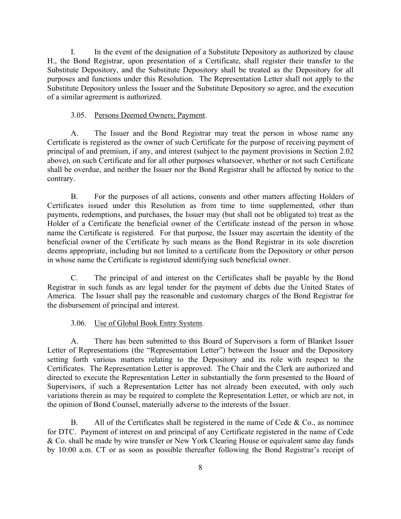I. In the event of the designation of a Substitute Depository as authorized by clause H., the Bond Registrar, upon presentation of a Certificate, shall register their transfer to the Substitute Depository, and the Substitute Depository shall be treated as the Depository for all purposes and functions under this Resolution. The Representation Letter shall not apply to the Substitute Depository unless the Issuer and the Substitute Depository so agree, and the execution of a similar agreement is authorized.

# 3.05. Persons Deemed Owners; Payment.

A. The Issuer and the Bond Registrar may treat the person in whose name any Certificate is registered as the owner of such Certificate for the purpose of receiving payment of principal of and premium, if any, and interest (subject to the payment provisions in Section 2.02 above), on such Certificate and for all other purposes whatsoever, whether or not such Certificate shall be overdue, and neither the Issuer nor the Bond Registrar shall be affected by notice to the contrary.

B. For the purposes of all actions, consents and other matters affecting Holders of Certificates issued under this Resolution as from time to time supplemented, other than payments, redemptions, and purchases, the Issuer may (but shall not be obligated to) treat as the Holder of a Certificate the beneficial owner of the Certificate instead of the person in whose name the Certificate is registered. For that purpose, the Issuer may ascertain the identity of the beneficial owner of the Certificate by such means as the Bond Registrar in its sole discretion deems appropriate, including but not limited to a certificate from the Depository or other person in whose name the Certificate is registered identifying such beneficial owner.

C. The principal of and interest on the Certificates shall be payable by the Bond Registrar in such funds as are legal tender for the payment of debts due the United States of America. The Issuer shall pay the reasonable and customary charges of the Bond Registrar for the disbursement of principal and interest.

# 3.06. Use of Global Book Entry System.

A. There has been submitted to this Board of Supervisors a form of Blanket Issuer Letter of Representations (the "Representation Letter") between the Issuer and the Depository setting forth various matters relating to the Depository and its role with respect to the Certificates. The Representation Letter is approved. The Chair and the Clerk are authorized and directed to execute the Representation Letter in substantially the form presented to the Board of Supervisors, if such a Representation Letter has not already been executed, with only such variations therein as may be required to complete the Representation Letter, or which are not, in the opinion of Bond Counsel, materially adverse to the interests of the Issuer.

B. All of the Certificates shall be registered in the name of Cede  $& Co.,$  as nominee for DTC. Payment of interest on and principal of any Certificate registered in the name of Cede & Co. shall be made by wire transfer or New York Clearing House or equivalent same day funds by 10:00 a.m. CT or as soon as possible thereafter following the Bond Registrar's receipt of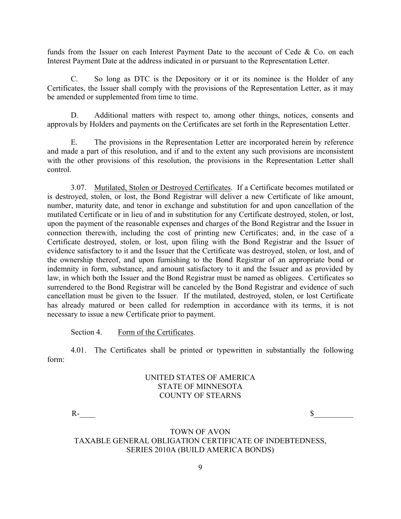funds from the Issuer on each Interest Payment Date to the account of Cede & Co. on each Interest Payment Date at the address indicated in or pursuant to the Representation Letter.

C. So long as DTC is the Depository or it or its nominee is the Holder of any Certificates, the Issuer shall comply with the provisions of the Representation Letter, as it may be amended or supplemented from time to time.

D. Additional matters with respect to, among other things, notices, consents and approvals by Holders and payments on the Certificates are set forth in the Representation Letter.

E. The provisions in the Representation Letter are incorporated herein by reference and made a part of this resolution, and if and to the extent any such provisions are inconsistent with the other provisions of this resolution, the provisions in the Representation Letter shall control.

3.07. Mutilated, Stolen or Destroyed Certificates. If a Certificate becomes mutilated or is destroyed, stolen, or lost, the Bond Registrar will deliver a new Certificate of like amount, number, maturity date, and tenor in exchange and substitution for and upon cancellation of the mutilated Certificate or in lieu of and in substitution for any Certificate destroyed, stolen, or lost, upon the payment of the reasonable expenses and charges of the Bond Registrar and the Issuer in connection therewith, including the cost of printing new Certificates; and, in the case of a Certificate destroyed, stolen, or lost, upon filing with the Bond Registrar and the Issuer of evidence satisfactory to it and the Issuer that the Certificate was destroyed, stolen, or lost, and of the ownership thereof, and upon furnishing to the Bond Registrar of an appropriate bond or indemnity in form, substance, and amount satisfactory to it and the Issuer and as provided by law, in which both the Issuer and the Bond Registrar must be named as obligees. Certificates so surrendered to the Bond Registrar will be canceled by the Bond Registrar and evidence of such cancellation must be given to the Issuer. If the mutilated, destroyed, stolen, or lost Certificate has already matured or been called for redemption in accordance with its terms, it is not necessary to issue a new Certificate prior to payment.

Section 4. Form of the Certificates.

4.01. The Certificates shall be printed or typewritten in substantially the following form:

# UNITED STATES OF AMERICA STATE OF MINNESOTA COUNTY OF STEARNS

 $R$ - $\overline{\mathcal{S}}$ 

TOWN OF AVON TAXABLE GENERAL OBLIGATION CERTIFICATE OF INDEBTEDNESS, SERIES 2010A (BUILD AMERICA BONDS)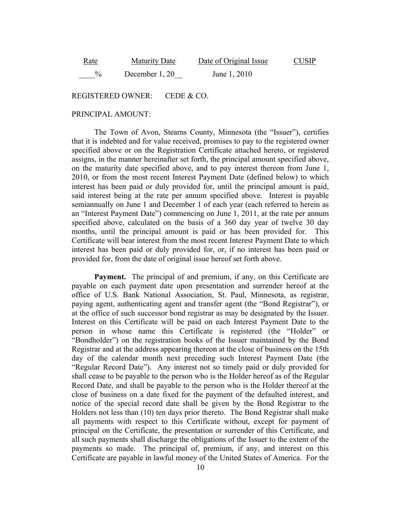| <u>Rate</u> | <b>Maturity Date</b> | Date of Original Issue | <b>CUSIP</b> |
|-------------|----------------------|------------------------|--------------|
| $\%$        | December 1, 20       | June 1, 2010           |              |

REGISTERED OWNER: CEDE & CO.

#### PRINCIPAL AMOUNT:

The Town of Avon, Stearns County, Minnesota (the "Issuer"), certifies that it is indebted and for value received, promises to pay to the registered owner specified above or on the Registration Certificate attached hereto, or registered assigns, in the manner hereinafter set forth, the principal amount specified above, on the maturity date specified above, and to pay interest thereon from June 1, 2010, or from the most recent Interest Payment Date (defined below) to which interest has been paid or duly provided for, until the principal amount is paid, said interest being at the rate per annum specified above. Interest is payable semiannually on June 1 and December 1 of each year (each referred to herein as an "Interest Payment Date") commencing on June 1, 2011, at the rate per annum specified above, calculated on the basis of a 360 day year of twelve 30 day months, until the principal amount is paid or has been provided for. This Certificate will bear interest from the most recent Interest Payment Date to which interest has been paid or duly provided for, or, if no interest has been paid or provided for, from the date of original issue hereof set forth above.

**Payment.** The principal of and premium, if any, on this Certificate are payable on each payment date upon presentation and surrender hereof at the office of U.S. Bank National Association, St. Paul, Minnesota, as registrar, paying agent, authenticating agent and transfer agent (the "Bond Registrar"), or at the office of such successor bond registrar as may be designated by the Issuer. Interest on this Certificate will be paid on each Interest Payment Date to the person in whose name this Certificate is registered (the "Holder" or "Bondholder") on the registration books of the Issuer maintained by the Bond Registrar and at the address appearing thereon at the close of business on the 15th day of the calendar month next preceding such Interest Payment Date (the "Regular Record Date"). Any interest not so timely paid or duly provided for shall cease to be payable to the person who is the Holder hereof as of the Regular Record Date, and shall be payable to the person who is the Holder thereof at the close of business on a date fixed for the payment of the defaulted interest, and notice of the special record date shall be given by the Bond Registrar to the Holders not less than (10) ten days prior thereto. The Bond Registrar shall make all payments with respect to this Certificate without, except for payment of principal on the Certificate, the presentation or surrender of this Certificate, and all such payments shall discharge the obligations of the Issuer to the extent of the payments so made. The principal of, premium, if any, and interest on this Certificate are payable in lawful money of the United States of America. For the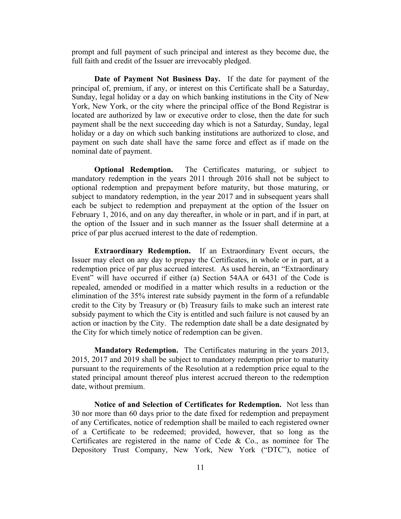prompt and full payment of such principal and interest as they become due, the full faith and credit of the Issuer are irrevocably pledged.

**Date of Payment Not Business Day.** If the date for payment of the principal of, premium, if any, or interest on this Certificate shall be a Saturday, Sunday, legal holiday or a day on which banking institutions in the City of New York, New York, or the city where the principal office of the Bond Registrar is located are authorized by law or executive order to close, then the date for such payment shall be the next succeeding day which is not a Saturday, Sunday, legal holiday or a day on which such banking institutions are authorized to close, and payment on such date shall have the same force and effect as if made on the nominal date of payment.

**Optional Redemption.** The Certificates maturing, or subject to mandatory redemption in the years 2011 through 2016 shall not be subject to optional redemption and prepayment before maturity, but those maturing, or subject to mandatory redemption, in the year 2017 and in subsequent years shall each be subject to redemption and prepayment at the option of the Issuer on February 1, 2016, and on any day thereafter, in whole or in part, and if in part, at the option of the Issuer and in such manner as the Issuer shall determine at a price of par plus accrued interest to the date of redemption.

**Extraordinary Redemption.** If an Extraordinary Event occurs, the Issuer may elect on any day to prepay the Certificates, in whole or in part, at a redemption price of par plus accrued interest. As used herein, an "Extraordinary Event" will have occurred if either (a) Section 54AA or 6431 of the Code is repealed, amended or modified in a matter which results in a reduction or the elimination of the 35% interest rate subsidy payment in the form of a refundable credit to the City by Treasury or (b) Treasury fails to make such an interest rate subsidy payment to which the City is entitled and such failure is not caused by an action or inaction by the City. The redemption date shall be a date designated by the City for which timely notice of redemption can be given.

**Mandatory Redemption.** The Certificates maturing in the years 2013, 2015, 2017 and 2019 shall be subject to mandatory redemption prior to maturity pursuant to the requirements of the Resolution at a redemption price equal to the stated principal amount thereof plus interest accrued thereon to the redemption date, without premium.

**Notice of and Selection of Certificates for Redemption.** Not less than 30 nor more than 60 days prior to the date fixed for redemption and prepayment of any Certificates, notice of redemption shall be mailed to each registered owner of a Certificate to be redeemed; provided, however, that so long as the Certificates are registered in the name of Cede & Co., as nominee for The Depository Trust Company, New York, New York ("DTC"), notice of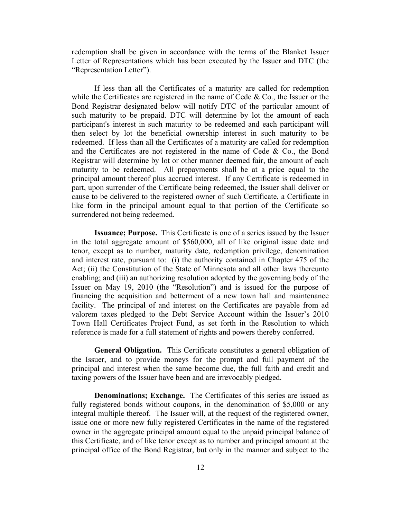redemption shall be given in accordance with the terms of the Blanket Issuer Letter of Representations which has been executed by the Issuer and DTC (the "Representation Letter").

If less than all the Certificates of a maturity are called for redemption while the Certificates are registered in the name of Cede  $\&$  Co., the Issuer or the Bond Registrar designated below will notify DTC of the particular amount of such maturity to be prepaid. DTC will determine by lot the amount of each participant's interest in such maturity to be redeemed and each participant will then select by lot the beneficial ownership interest in such maturity to be redeemed. If less than all the Certificates of a maturity are called for redemption and the Certificates are not registered in the name of Cede  $\&$  Co., the Bond Registrar will determine by lot or other manner deemed fair, the amount of each maturity to be redeemed. All prepayments shall be at a price equal to the principal amount thereof plus accrued interest. If any Certificate is redeemed in part, upon surrender of the Certificate being redeemed, the Issuer shall deliver or cause to be delivered to the registered owner of such Certificate, a Certificate in like form in the principal amount equal to that portion of the Certificate so surrendered not being redeemed.

**Issuance; Purpose.** This Certificate is one of a series issued by the Issuer in the total aggregate amount of \$560,000, all of like original issue date and tenor, except as to number, maturity date, redemption privilege, denomination and interest rate, pursuant to: (i) the authority contained in Chapter 475 of the Act; (ii) the Constitution of the State of Minnesota and all other laws thereunto enabling; and (iii) an authorizing resolution adopted by the governing body of the Issuer on May 19, 2010 (the "Resolution") and is issued for the purpose of financing the acquisition and betterment of a new town hall and maintenance facility. The principal of and interest on the Certificates are payable from ad valorem taxes pledged to the Debt Service Account within the Issuer's 2010 Town Hall Certificates Project Fund, as set forth in the Resolution to which reference is made for a full statement of rights and powers thereby conferred.

**General Obligation.** This Certificate constitutes a general obligation of the Issuer, and to provide moneys for the prompt and full payment of the principal and interest when the same become due, the full faith and credit and taxing powers of the Issuer have been and are irrevocably pledged.

**Denominations; Exchange.** The Certificates of this series are issued as fully registered bonds without coupons, in the denomination of \$5,000 or any integral multiple thereof. The Issuer will, at the request of the registered owner, issue one or more new fully registered Certificates in the name of the registered owner in the aggregate principal amount equal to the unpaid principal balance of this Certificate, and of like tenor except as to number and principal amount at the principal office of the Bond Registrar, but only in the manner and subject to the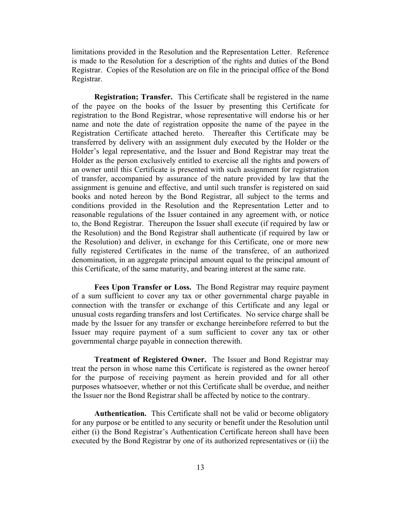limitations provided in the Resolution and the Representation Letter. Reference is made to the Resolution for a description of the rights and duties of the Bond Registrar. Copies of the Resolution are on file in the principal office of the Bond Registrar.

**Registration; Transfer.** This Certificate shall be registered in the name of the payee on the books of the Issuer by presenting this Certificate for registration to the Bond Registrar, whose representative will endorse his or her name and note the date of registration opposite the name of the payee in the Registration Certificate attached hereto. Thereafter this Certificate may be transferred by delivery with an assignment duly executed by the Holder or the Holder's legal representative, and the Issuer and Bond Registrar may treat the Holder as the person exclusively entitled to exercise all the rights and powers of an owner until this Certificate is presented with such assignment for registration of transfer, accompanied by assurance of the nature provided by law that the assignment is genuine and effective, and until such transfer is registered on said books and noted hereon by the Bond Registrar, all subject to the terms and conditions provided in the Resolution and the Representation Letter and to reasonable regulations of the Issuer contained in any agreement with, or notice to, the Bond Registrar. Thereupon the Issuer shall execute (if required by law or the Resolution) and the Bond Registrar shall authenticate (if required by law or the Resolution) and deliver, in exchange for this Certificate, one or more new fully registered Certificates in the name of the transferee, of an authorized denomination, in an aggregate principal amount equal to the principal amount of this Certificate, of the same maturity, and bearing interest at the same rate.

**Fees Upon Transfer or Loss.** The Bond Registrar may require payment of a sum sufficient to cover any tax or other governmental charge payable in connection with the transfer or exchange of this Certificate and any legal or unusual costs regarding transfers and lost Certificates. No service charge shall be made by the Issuer for any transfer or exchange hereinbefore referred to but the Issuer may require payment of a sum sufficient to cover any tax or other governmental charge payable in connection therewith.

**Treatment of Registered Owner.** The Issuer and Bond Registrar may treat the person in whose name this Certificate is registered as the owner hereof for the purpose of receiving payment as herein provided and for all other purposes whatsoever, whether or not this Certificate shall be overdue, and neither the Issuer nor the Bond Registrar shall be affected by notice to the contrary.

**Authentication.** This Certificate shall not be valid or become obligatory for any purpose or be entitled to any security or benefit under the Resolution until either (i) the Bond Registrar's Authentication Certificate hereon shall have been executed by the Bond Registrar by one of its authorized representatives or (ii) the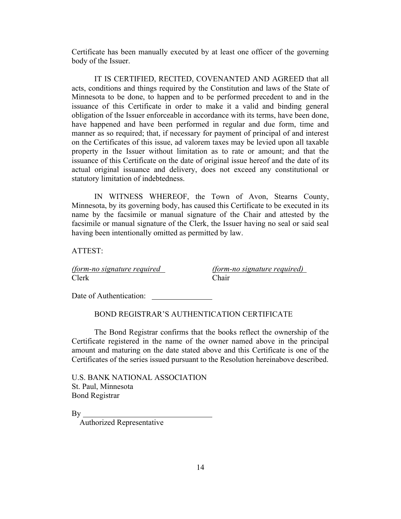Certificate has been manually executed by at least one officer of the governing body of the Issuer.

IT IS CERTIFIED, RECITED, COVENANTED AND AGREED that all acts, conditions and things required by the Constitution and laws of the State of Minnesota to be done, to happen and to be performed precedent to and in the issuance of this Certificate in order to make it a valid and binding general obligation of the Issuer enforceable in accordance with its terms, have been done, have happened and have been performed in regular and due form, time and manner as so required; that, if necessary for payment of principal of and interest on the Certificates of this issue, ad valorem taxes may be levied upon all taxable property in the Issuer without limitation as to rate or amount; and that the issuance of this Certificate on the date of original issue hereof and the date of its actual original issuance and delivery, does not exceed any constitutional or statutory limitation of indebtedness.

IN WITNESS WHEREOF, the Town of Avon, Stearns County, Minnesota, by its governing body, has caused this Certificate to be executed in its name by the facsimile or manual signature of the Chair and attested by the facsimile or manual signature of the Clerk, the Issuer having no seal or said seal having been intentionally omitted as permitted by law.

ATTEST:

Clerk Chair

*(form-no signature required (form-no signature required)*

Date of Authentication:

## BOND REGISTRAR'S AUTHENTICATION CERTIFICATE

The Bond Registrar confirms that the books reflect the ownership of the Certificate registered in the name of the owner named above in the principal amount and maturing on the date stated above and this Certificate is one of the Certificates of the series issued pursuant to the Resolution hereinabove described.

U.S. BANK NATIONAL ASSOCIATION St. Paul, Minnesota Bond Registrar

 $By$ 

Authorized Representative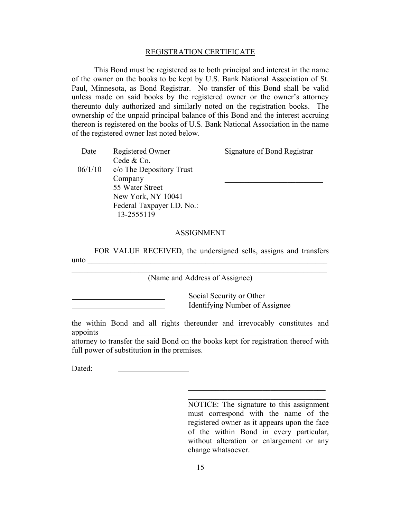#### REGISTRATION CERTIFICATE

This Bond must be registered as to both principal and interest in the name of the owner on the books to be kept by U.S. Bank National Association of St. Paul, Minnesota, as Bond Registrar. No transfer of this Bond shall be valid unless made on said books by the registered owner or the owner's attorney thereunto duly authorized and similarly noted on the registration books. The ownership of the unpaid principal balance of this Bond and the interest accruing thereon is registered on the books of U.S. Bank National Association in the name of the registered owner last noted below.

| Date    | Registered Owner           | <b>Signature of Bond Registrar</b> |
|---------|----------------------------|------------------------------------|
|         | Cede & Co.                 |                                    |
| 06/1/10 | c/o The Depository Trust   |                                    |
|         | Company                    |                                    |
|         | 55 Water Street            |                                    |
|         | New York, NY 10041         |                                    |
|         | Federal Taxpayer I.D. No.: |                                    |
|         | 13-2555119                 |                                    |
|         |                            |                                    |

### ASSIGNMENT

FOR VALUE RECEIVED, the undersigned sells, assigns and transfers  $unto$   $\blacksquare$ 

(Name and Address of Assignee)

Social Security or Other Identifying Number of Assignee

the within Bond and all rights thereunder and irrevocably constitutes and appoints \_\_\_\_\_\_\_\_\_\_\_\_\_\_\_\_\_\_\_\_\_\_\_\_\_\_\_\_\_\_\_\_\_\_\_\_\_\_\_\_\_\_\_\_\_\_\_\_\_\_\_\_\_\_\_\_\_

attorney to transfer the said Bond on the books kept for registration thereof with full power of substitution in the premises.

Dated:

NOTICE: The signature to this assignment must correspond with the name of the registered owner as it appears upon the face of the within Bond in every particular, without alteration or enlargement or any change whatsoever.

 $\mathcal{L}_\text{max}$  , and the set of the set of the set of the set of the set of the set of the set of the set of the set of the set of the set of the set of the set of the set of the set of the set of the set of the set of the  $\mathcal{L}_\text{max}$  , and the set of the set of the set of the set of the set of the set of the set of the set of the set of the set of the set of the set of the set of the set of the set of the set of the set of the set of the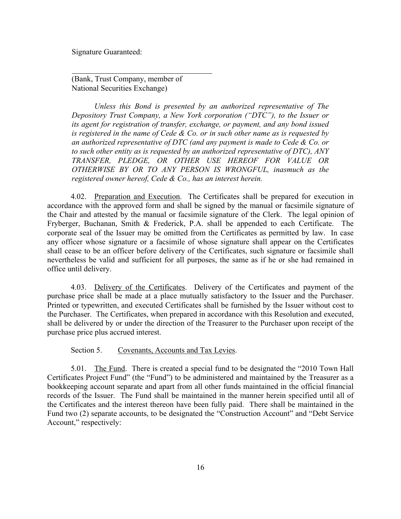Signature Guaranteed:

(Bank, Trust Company, member of National Securities Exchange)

*Unless this Bond is presented by an authorized representative of The Depository Trust Company, a New York corporation ("DTC"), to the Issuer or its agent for registration of transfer, exchange, or payment, and any bond issued is registered in the name of Cede & Co. or in such other name as is requested by an authorized representative of DTC (and any payment is made to Cede & Co. or to such other entity as is requested by an authorized representative of DTC), ANY TRANSFER, PLEDGE, OR OTHER USE HEREOF FOR VALUE OR OTHERWISE BY OR TO ANY PERSON IS WRONGFUL, inasmuch as the registered owner hereof, Cede & Co., has an interest herein.*

4.02. Preparation and Execution. The Certificates shall be prepared for execution in accordance with the approved form and shall be signed by the manual or facsimile signature of the Chair and attested by the manual or facsimile signature of the Clerk. The legal opinion of Fryberger, Buchanan, Smith & Frederick, P.A. shall be appended to each Certificate. The corporate seal of the Issuer may be omitted from the Certificates as permitted by law. In case any officer whose signature or a facsimile of whose signature shall appear on the Certificates shall cease to be an officer before delivery of the Certificates, such signature or facsimile shall nevertheless be valid and sufficient for all purposes, the same as if he or she had remained in office until delivery.

4.03. Delivery of the Certificates. Delivery of the Certificates and payment of the purchase price shall be made at a place mutually satisfactory to the Issuer and the Purchaser. Printed or typewritten, and executed Certificates shall be furnished by the Issuer without cost to the Purchaser. The Certificates, when prepared in accordance with this Resolution and executed, shall be delivered by or under the direction of the Treasurer to the Purchaser upon receipt of the purchase price plus accrued interest.

### Section 5. Covenants, Accounts and Tax Levies.

5.01. The Fund. There is created a special fund to be designated the "2010 Town Hall Certificates Project Fund" (the "Fund") to be administered and maintained by the Treasurer as a bookkeeping account separate and apart from all other funds maintained in the official financial records of the Issuer. The Fund shall be maintained in the manner herein specified until all of the Certificates and the interest thereon have been fully paid. There shall be maintained in the Fund two (2) separate accounts, to be designated the "Construction Account" and "Debt Service Account," respectively: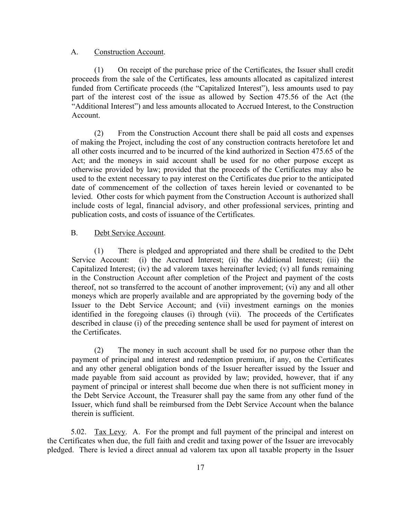### A. Construction Account.

(1) On receipt of the purchase price of the Certificates, the Issuer shall credit proceeds from the sale of the Certificates, less amounts allocated as capitalized interest funded from Certificate proceeds (the "Capitalized Interest"), less amounts used to pay part of the interest cost of the issue as allowed by Section 475.56 of the Act (the "Additional Interest") and less amounts allocated to Accrued Interest, to the Construction Account.

(2) From the Construction Account there shall be paid all costs and expenses of making the Project, including the cost of any construction contracts heretofore let and all other costs incurred and to be incurred of the kind authorized in Section 475.65 of the Act; and the moneys in said account shall be used for no other purpose except as otherwise provided by law; provided that the proceeds of the Certificates may also be used to the extent necessary to pay interest on the Certificates due prior to the anticipated date of commencement of the collection of taxes herein levied or covenanted to be levied. Other costs for which payment from the Construction Account is authorized shall include costs of legal, financial advisory, and other professional services, printing and publication costs, and costs of issuance of the Certificates.

### B. Debt Service Account.

(1) There is pledged and appropriated and there shall be credited to the Debt Service Account: (i) the Accrued Interest; (ii) the Additional Interest; (iii) the Capitalized Interest; (iv) the ad valorem taxes hereinafter levied; (v) all funds remaining in the Construction Account after completion of the Project and payment of the costs thereof, not so transferred to the account of another improvement; (vi) any and all other moneys which are properly available and are appropriated by the governing body of the Issuer to the Debt Service Account; and (vii) investment earnings on the monies identified in the foregoing clauses (i) through (vii). The proceeds of the Certificates described in clause (i) of the preceding sentence shall be used for payment of interest on the Certificates.

(2) The money in such account shall be used for no purpose other than the payment of principal and interest and redemption premium, if any, on the Certificates and any other general obligation bonds of the Issuer hereafter issued by the Issuer and made payable from said account as provided by law; provided, however, that if any payment of principal or interest shall become due when there is not sufficient money in the Debt Service Account, the Treasurer shall pay the same from any other fund of the Issuer, which fund shall be reimbursed from the Debt Service Account when the balance therein is sufficient.

5.02. Tax Levy. A. For the prompt and full payment of the principal and interest on the Certificates when due, the full faith and credit and taxing power of the Issuer are irrevocably pledged. There is levied a direct annual ad valorem tax upon all taxable property in the Issuer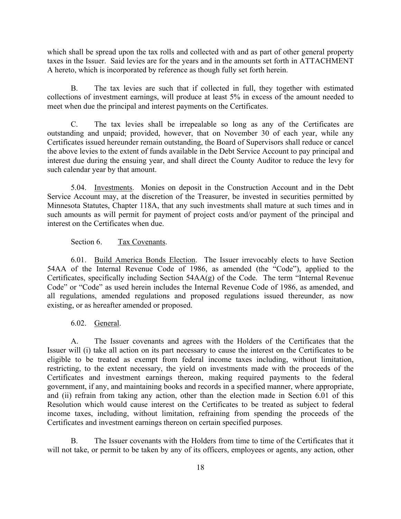which shall be spread upon the tax rolls and collected with and as part of other general property taxes in the Issuer. Said levies are for the years and in the amounts set forth in ATTACHMENT A hereto, which is incorporated by reference as though fully set forth herein.

B. The tax levies are such that if collected in full, they together with estimated collections of investment earnings, will produce at least 5% in excess of the amount needed to meet when due the principal and interest payments on the Certificates.

C. The tax levies shall be irrepealable so long as any of the Certificates are outstanding and unpaid; provided, however, that on November 30 of each year, while any Certificates issued hereunder remain outstanding, the Board of Supervisors shall reduce or cancel the above levies to the extent of funds available in the Debt Service Account to pay principal and interest due during the ensuing year, and shall direct the County Auditor to reduce the levy for such calendar year by that amount.

5.04. Investments. Monies on deposit in the Construction Account and in the Debt Service Account may, at the discretion of the Treasurer, be invested in securities permitted by Minnesota Statutes, Chapter 118A, that any such investments shall mature at such times and in such amounts as will permit for payment of project costs and/or payment of the principal and interest on the Certificates when due.

## Section 6. Tax Covenants.

6.01. Build America Bonds Election. The Issuer irrevocably elects to have Section 54AA of the Internal Revenue Code of 1986, as amended (the "Code"), applied to the Certificates, specifically including Section 54AA(g) of the Code. The term "Internal Revenue Code" or "Code" as used herein includes the Internal Revenue Code of 1986, as amended, and all regulations, amended regulations and proposed regulations issued thereunder, as now existing, or as hereafter amended or proposed.

# 6.02. General.

A. The Issuer covenants and agrees with the Holders of the Certificates that the Issuer will (i) take all action on its part necessary to cause the interest on the Certificates to be eligible to be treated as exempt from federal income taxes including, without limitation, restricting, to the extent necessary, the yield on investments made with the proceeds of the Certificates and investment earnings thereon, making required payments to the federal government, if any, and maintaining books and records in a specified manner, where appropriate, and (ii) refrain from taking any action, other than the election made in Section 6.01 of this Resolution which would cause interest on the Certificates to be treated as subject to federal income taxes, including, without limitation, refraining from spending the proceeds of the Certificates and investment earnings thereon on certain specified purposes.

B. The Issuer covenants with the Holders from time to time of the Certificates that it will not take, or permit to be taken by any of its officers, employees or agents, any action, other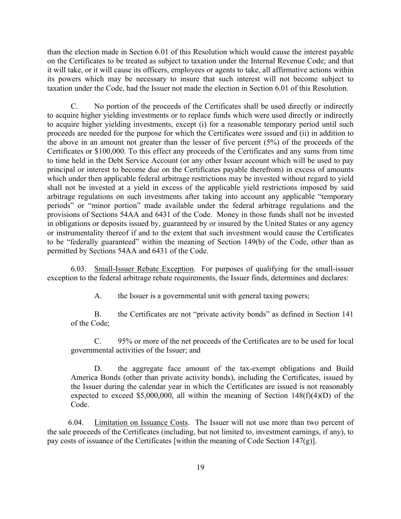than the election made in Section 6.01 of this Resolution which would cause the interest payable on the Certificates to be treated as subject to taxation under the Internal Revenue Code; and that it will take, or it will cause its officers, employees or agents to take, all affirmative actions within its powers which may be necessary to insure that such interest will not become subject to taxation under the Code, had the Issuer not made the election in Section 6.01 of this Resolution.

C. No portion of the proceeds of the Certificates shall be used directly or indirectly to acquire higher yielding investments or to replace funds which were used directly or indirectly to acquire higher yielding investments, except (i) for a reasonable temporary period until such proceeds are needed for the purpose for which the Certificates were issued and (ii) in addition to the above in an amount not greater than the lesser of five percent (5%) of the proceeds of the Certificates or \$100,000. To this effect any proceeds of the Certificates and any sums from time to time held in the Debt Service Account (or any other Issuer account which will be used to pay principal or interest to become due on the Certificates payable therefrom) in excess of amounts which under then applicable federal arbitrage restrictions may be invested without regard to yield shall not be invested at a yield in excess of the applicable yield restrictions imposed by said arbitrage regulations on such investments after taking into account any applicable "temporary periods" or "minor portion" made available under the federal arbitrage regulations and the provisions of Sections 54AA and 6431 of the Code. Money in those funds shall not be invested in obligations or deposits issued by, guaranteed by or insured by the United States or any agency or instrumentality thereof if and to the extent that such investment would cause the Certificates to be "federally guaranteed" within the meaning of Section 149(b) of the Code, other than as permitted by Sections 54AA and 6431 of the Code.

6.03. Small-Issuer Rebate Exception. For purposes of qualifying for the small-issuer exception to the federal arbitrage rebate requirements, the Issuer finds, determines and declares:

A. the Issuer is a governmental unit with general taxing powers;

B. the Certificates are not "private activity bonds" as defined in Section 141 of the Code;

C. 95% or more of the net proceeds of the Certificates are to be used for local governmental activities of the Issuer; and

D. the aggregate face amount of the tax-exempt obligations and Build America Bonds (other than private activity bonds), including the Certificates, issued by the Issuer during the calendar year in which the Certificates are issued is not reasonably expected to exceed \$5,000,000, all within the meaning of Section  $148(f)(4)(D)$  of the Code.

6.04. Limitation on Issuance Costs. The Issuer will not use more than two percent of the sale proceeds of the Certificates (including, but not limited to, investment earnings, if any), to pay costs of issuance of the Certificates [within the meaning of Code Section 147(g)].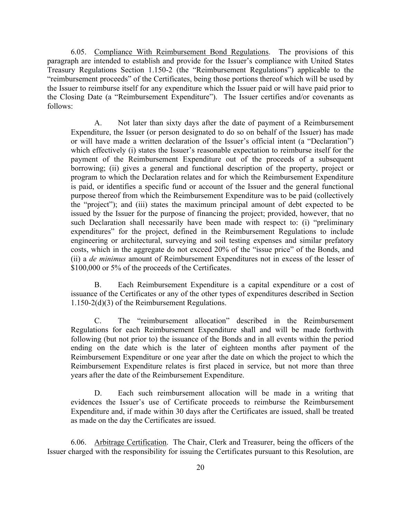6.05. Compliance With Reimbursement Bond Regulations. The provisions of this paragraph are intended to establish and provide for the Issuer's compliance with United States Treasury Regulations Section 1.150-2 (the "Reimbursement Regulations") applicable to the "reimbursement proceeds" of the Certificates, being those portions thereof which will be used by the Issuer to reimburse itself for any expenditure which the Issuer paid or will have paid prior to the Closing Date (a "Reimbursement Expenditure"). The Issuer certifies and/or covenants as follows:

A. Not later than sixty days after the date of payment of a Reimbursement Expenditure, the Issuer (or person designated to do so on behalf of the Issuer) has made or will have made a written declaration of the Issuer's official intent (a "Declaration") which effectively (i) states the Issuer's reasonable expectation to reimburse itself for the payment of the Reimbursement Expenditure out of the proceeds of a subsequent borrowing; (ii) gives a general and functional description of the property, project or program to which the Declaration relates and for which the Reimbursement Expenditure is paid, or identifies a specific fund or account of the Issuer and the general functional purpose thereof from which the Reimbursement Expenditure was to be paid (collectively the "project"); and (iii) states the maximum principal amount of debt expected to be issued by the Issuer for the purpose of financing the project; provided, however, that no such Declaration shall necessarily have been made with respect to: (i) "preliminary expenditures" for the project, defined in the Reimbursement Regulations to include engineering or architectural, surveying and soil testing expenses and similar prefatory costs, which in the aggregate do not exceed 20% of the "issue price" of the Bonds, and (ii) a *de minimus* amount of Reimbursement Expenditures not in excess of the lesser of \$100,000 or 5% of the proceeds of the Certificates.

B. Each Reimbursement Expenditure is a capital expenditure or a cost of issuance of the Certificates or any of the other types of expenditures described in Section 1.150-2(d)(3) of the Reimbursement Regulations.

C. The "reimbursement allocation" described in the Reimbursement Regulations for each Reimbursement Expenditure shall and will be made forthwith following (but not prior to) the issuance of the Bonds and in all events within the period ending on the date which is the later of eighteen months after payment of the Reimbursement Expenditure or one year after the date on which the project to which the Reimbursement Expenditure relates is first placed in service, but not more than three years after the date of the Reimbursement Expenditure.

D. Each such reimbursement allocation will be made in a writing that evidences the Issuer's use of Certificate proceeds to reimburse the Reimbursement Expenditure and, if made within 30 days after the Certificates are issued, shall be treated as made on the day the Certificates are issued.

6.06. Arbitrage Certification. The Chair, Clerk and Treasurer, being the officers of the Issuer charged with the responsibility for issuing the Certificates pursuant to this Resolution, are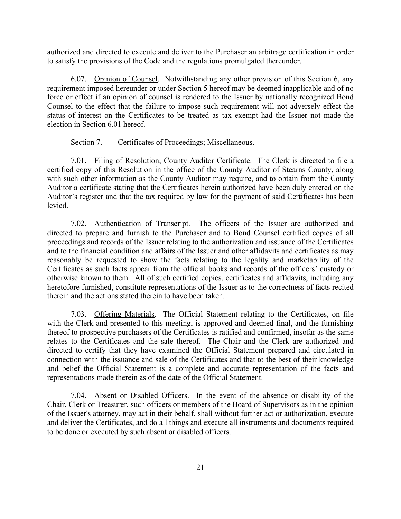authorized and directed to execute and deliver to the Purchaser an arbitrage certification in order to satisfy the provisions of the Code and the regulations promulgated thereunder.

6.07. Opinion of Counsel. Notwithstanding any other provision of this Section 6, any requirement imposed hereunder or under Section 5 hereof may be deemed inapplicable and of no force or effect if an opinion of counsel is rendered to the Issuer by nationally recognized Bond Counsel to the effect that the failure to impose such requirement will not adversely effect the status of interest on the Certificates to be treated as tax exempt had the Issuer not made the election in Section 6.01 hereof.

### Section 7. Certificates of Proceedings; Miscellaneous.

7.01. Filing of Resolution; County Auditor Certificate. The Clerk is directed to file a certified copy of this Resolution in the office of the County Auditor of Stearns County, along with such other information as the County Auditor may require, and to obtain from the County Auditor a certificate stating that the Certificates herein authorized have been duly entered on the Auditor's register and that the tax required by law for the payment of said Certificates has been levied.

7.02. Authentication of Transcript. The officers of the Issuer are authorized and directed to prepare and furnish to the Purchaser and to Bond Counsel certified copies of all proceedings and records of the Issuer relating to the authorization and issuance of the Certificates and to the financial condition and affairs of the Issuer and other affidavits and certificates as may reasonably be requested to show the facts relating to the legality and marketability of the Certificates as such facts appear from the official books and records of the officers' custody or otherwise known to them. All of such certified copies, certificates and affidavits, including any heretofore furnished, constitute representations of the Issuer as to the correctness of facts recited therein and the actions stated therein to have been taken.

7.03. Offering Materials. The Official Statement relating to the Certificates, on file with the Clerk and presented to this meeting, is approved and deemed final, and the furnishing thereof to prospective purchasers of the Certificates is ratified and confirmed, insofar as the same relates to the Certificates and the sale thereof. The Chair and the Clerk are authorized and directed to certify that they have examined the Official Statement prepared and circulated in connection with the issuance and sale of the Certificates and that to the best of their knowledge and belief the Official Statement is a complete and accurate representation of the facts and representations made therein as of the date of the Official Statement.

7.04. Absent or Disabled Officers. In the event of the absence or disability of the Chair, Clerk or Treasurer, such officers or members of the Board of Supervisors as in the opinion of the Issuer's attorney, may act in their behalf, shall without further act or authorization, execute and deliver the Certificates, and do all things and execute all instruments and documents required to be done or executed by such absent or disabled officers.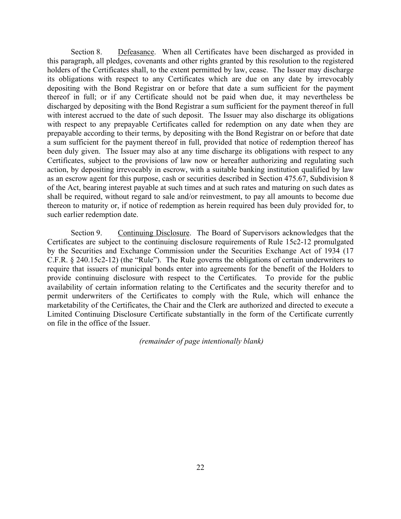Section 8. Defeasance. When all Certificates have been discharged as provided in this paragraph, all pledges, covenants and other rights granted by this resolution to the registered holders of the Certificates shall, to the extent permitted by law, cease. The Issuer may discharge its obligations with respect to any Certificates which are due on any date by irrevocably depositing with the Bond Registrar on or before that date a sum sufficient for the payment thereof in full; or if any Certificate should not be paid when due, it may nevertheless be discharged by depositing with the Bond Registrar a sum sufficient for the payment thereof in full with interest accrued to the date of such deposit. The Issuer may also discharge its obligations with respect to any prepayable Certificates called for redemption on any date when they are prepayable according to their terms, by depositing with the Bond Registrar on or before that date a sum sufficient for the payment thereof in full, provided that notice of redemption thereof has been duly given. The Issuer may also at any time discharge its obligations with respect to any Certificates, subject to the provisions of law now or hereafter authorizing and regulating such action, by depositing irrevocably in escrow, with a suitable banking institution qualified by law as an escrow agent for this purpose, cash or securities described in Section 475.67, Subdivision 8 of the Act, bearing interest payable at such times and at such rates and maturing on such dates as shall be required, without regard to sale and/or reinvestment, to pay all amounts to become due thereon to maturity or, if notice of redemption as herein required has been duly provided for, to such earlier redemption date.

Section 9. Continuing Disclosure. The Board of Supervisors acknowledges that the Certificates are subject to the continuing disclosure requirements of Rule 15c2-12 promulgated by the Securities and Exchange Commission under the Securities Exchange Act of 1934 (17 C.F.R. § 240.15c2-12) (the "Rule"). The Rule governs the obligations of certain underwriters to require that issuers of municipal bonds enter into agreements for the benefit of the Holders to provide continuing disclosure with respect to the Certificates. To provide for the public availability of certain information relating to the Certificates and the security therefor and to permit underwriters of the Certificates to comply with the Rule, which will enhance the marketability of the Certificates, the Chair and the Clerk are authorized and directed to execute a Limited Continuing Disclosure Certificate substantially in the form of the Certificate currently on file in the office of the Issuer.

 *(remainder of page intentionally blank)*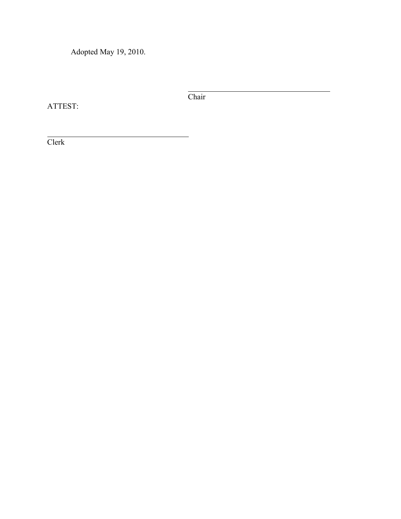Adopted May 19, 2010.

ATTEST:

**Chair** 

Clerk